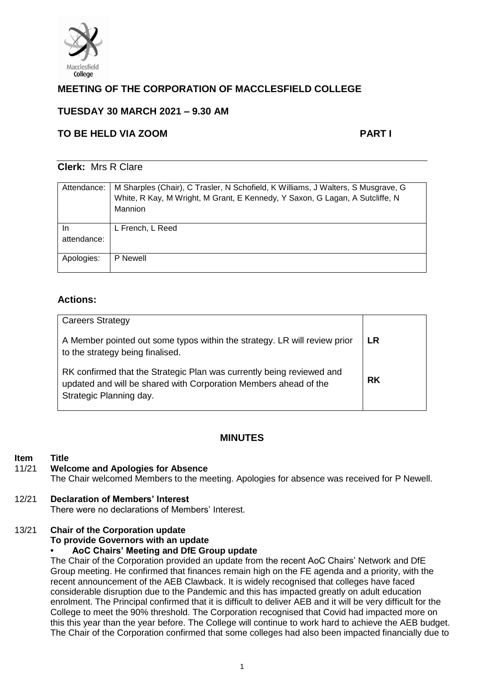

# **MEETING OF THE CORPORATION OF MACCLESFIELD COLLEGE**

# **TUESDAY 30 MARCH 2021 – 9.30 AM**

# **TO BE HELD VIA ZOOM PART I**

### **Clerk:** Mrs R Clare

| Attendance:       | M Sharples (Chair), C Trasler, N Schofield, K Williams, J Walters, S Musgrave, G<br>White, R Kay, M Wright, M Grant, E Kennedy, Y Saxon, G Lagan, A Sutcliffe, N<br>Mannion |
|-------------------|-----------------------------------------------------------------------------------------------------------------------------------------------------------------------------|
| In<br>attendance: | L French, L Reed                                                                                                                                                            |
|                   |                                                                                                                                                                             |
| Apologies:        | P Newell                                                                                                                                                                    |

# **Actions:**

| <b>Careers Strategy</b><br>A Member pointed out some typos within the strategy. LR will review prior                                                                                                     | <b>LR</b> |
|----------------------------------------------------------------------------------------------------------------------------------------------------------------------------------------------------------|-----------|
| to the strategy being finalised.<br>RK confirmed that the Strategic Plan was currently being reviewed and<br>updated and will be shared with Corporation Members ahead of the<br>Strategic Planning day. | <b>RK</b> |

# **MINUTES**

### **Item Title**

### 11/21 **Welcome and Apologies for Absence**

The Chair welcomed Members to the meeting. Apologies for absence was received for P Newell.

# 12/21 **Declaration of Members' Interest**

There were no declarations of Members' Interest.

# 13/21 **Chair of the Corporation update**

**To provide Governors with an update**

### **• AoC Chairs' Meeting and DfE Group update**

The Chair of the Corporation provided an update from the recent AoC Chairs' Network and DfE Group meeting. He confirmed that finances remain high on the FE agenda and a priority, with the recent announcement of the AEB Clawback. It is widely recognised that colleges have faced considerable disruption due to the Pandemic and this has impacted greatly on adult education enrolment. The Principal confirmed that it is difficult to deliver AEB and it will be very difficult for the College to meet the 90% threshold. The Corporation recognised that Covid had impacted more on this this year than the year before. The College will continue to work hard to achieve the AEB budget. The Chair of the Corporation confirmed that some colleges had also been impacted financially due to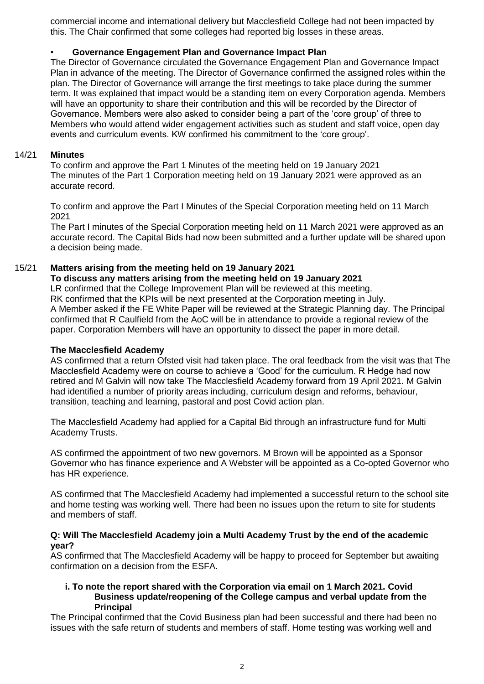commercial income and international delivery but Macclesfield College had not been impacted by this. The Chair confirmed that some colleges had reported big losses in these areas.

### • **Governance Engagement Plan and Governance Impact Plan**

The Director of Governance circulated the Governance Engagement Plan and Governance Impact Plan in advance of the meeting. The Director of Governance confirmed the assigned roles within the plan. The Director of Governance will arrange the first meetings to take place during the summer term. It was explained that impact would be a standing item on every Corporation agenda. Members will have an opportunity to share their contribution and this will be recorded by the Director of Governance. Members were also asked to consider being a part of the 'core group' of three to Members who would attend wider engagement activities such as student and staff voice, open day events and curriculum events. KW confirmed his commitment to the 'core group'.

### 14/21 **Minutes**

To confirm and approve the Part 1 Minutes of the meeting held on 19 January 2021 The minutes of the Part 1 Corporation meeting held on 19 January 2021 were approved as an accurate record.

To confirm and approve the Part I Minutes of the Special Corporation meeting held on 11 March 2021

The Part I minutes of the Special Corporation meeting held on 11 March 2021 were approved as an accurate record. The Capital Bids had now been submitted and a further update will be shared upon a decision being made.

### 15/21 **Matters arising from the meeting held on 19 January 2021**

# **To discuss any matters arising from the meeting held on 19 January 2021**

LR confirmed that the College Improvement Plan will be reviewed at this meeting. RK confirmed that the KPIs will be next presented at the Corporation meeting in July. A Member asked if the FE White Paper will be reviewed at the Strategic Planning day. The Principal confirmed that R Caulfield from the AoC will be in attendance to provide a regional review of the paper. Corporation Members will have an opportunity to dissect the paper in more detail.

### **The Macclesfield Academy**

AS confirmed that a return Ofsted visit had taken place. The oral feedback from the visit was that The Macclesfield Academy were on course to achieve a 'Good' for the curriculum. R Hedge had now retired and M Galvin will now take The Macclesfield Academy forward from 19 April 2021. M Galvin had identified a number of priority areas including, curriculum design and reforms, behaviour, transition, teaching and learning, pastoral and post Covid action plan.

The Macclesfield Academy had applied for a Capital Bid through an infrastructure fund for Multi Academy Trusts.

AS confirmed the appointment of two new governors. M Brown will be appointed as a Sponsor Governor who has finance experience and A Webster will be appointed as a Co-opted Governor who has HR experience.

AS confirmed that The Macclesfield Academy had implemented a successful return to the school site and home testing was working well. There had been no issues upon the return to site for students and members of staff.

### **Q: Will The Macclesfield Academy join a Multi Academy Trust by the end of the academic year?**

AS confirmed that The Macclesfield Academy will be happy to proceed for September but awaiting confirmation on a decision from the ESFA.

#### **i. To note the report shared with the Corporation via email on 1 March 2021. Covid Business update/reopening of the College campus and verbal update from the Principal**

The Principal confirmed that the Covid Business plan had been successful and there had been no issues with the safe return of students and members of staff. Home testing was working well and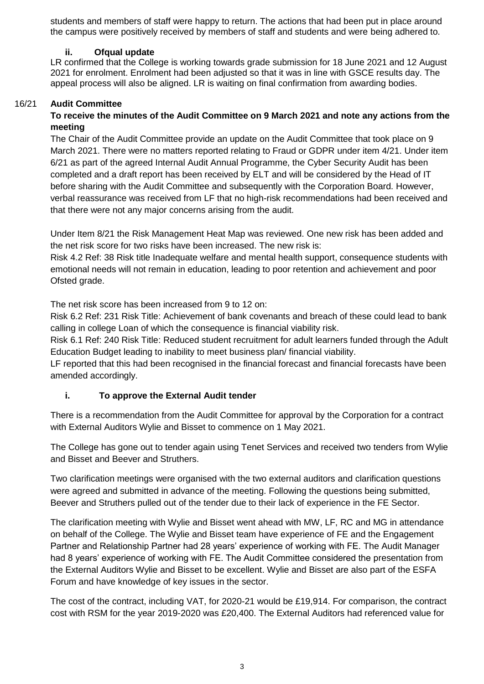students and members of staff were happy to return. The actions that had been put in place around the campus were positively received by members of staff and students and were being adhered to.

### **ii. Ofqual update**

LR confirmed that the College is working towards grade submission for 18 June 2021 and 12 August 2021 for enrolment. Enrolment had been adjusted so that it was in line with GSCE results day. The appeal process will also be aligned. LR is waiting on final confirmation from awarding bodies.

### 16/21 **Audit Committee**

# **To receive the minutes of the Audit Committee on 9 March 2021 and note any actions from the meeting**

The Chair of the Audit Committee provide an update on the Audit Committee that took place on 9 March 2021. There were no matters reported relating to Fraud or GDPR under item 4/21. Under item 6/21 as part of the agreed Internal Audit Annual Programme, the Cyber Security Audit has been completed and a draft report has been received by ELT and will be considered by the Head of IT before sharing with the Audit Committee and subsequently with the Corporation Board. However, verbal reassurance was received from LF that no high-risk recommendations had been received and that there were not any major concerns arising from the audit.

Under Item 8/21 the Risk Management Heat Map was reviewed. One new risk has been added and the net risk score for two risks have been increased. The new risk is:

Risk 4.2 Ref: 38 Risk title Inadequate welfare and mental health support, consequence students with emotional needs will not remain in education, leading to poor retention and achievement and poor Ofsted grade.

The net risk score has been increased from 9 to 12 on:

Risk 6.2 Ref: 231 Risk Title: Achievement of bank covenants and breach of these could lead to bank calling in college Loan of which the consequence is financial viability risk.

Risk 6.1 Ref: 240 Risk Title: Reduced student recruitment for adult learners funded through the Adult Education Budget leading to inability to meet business plan/ financial viability.

LF reported that this had been recognised in the financial forecast and financial forecasts have been amended accordingly.

# **i. To approve the External Audit tender**

There is a recommendation from the Audit Committee for approval by the Corporation for a contract with External Auditors Wylie and Bisset to commence on 1 May 2021.

The College has gone out to tender again using Tenet Services and received two tenders from Wylie and Bisset and Beever and Struthers.

Two clarification meetings were organised with the two external auditors and clarification questions were agreed and submitted in advance of the meeting. Following the questions being submitted, Beever and Struthers pulled out of the tender due to their lack of experience in the FE Sector.

The clarification meeting with Wylie and Bisset went ahead with MW, LF, RC and MG in attendance on behalf of the College. The Wylie and Bisset team have experience of FE and the Engagement Partner and Relationship Partner had 28 years' experience of working with FE. The Audit Manager had 8 years' experience of working with FE. The Audit Committee considered the presentation from the External Auditors Wylie and Bisset to be excellent. Wylie and Bisset are also part of the ESFA Forum and have knowledge of key issues in the sector.

The cost of the contract, including VAT, for 2020-21 would be £19,914. For comparison, the contract cost with RSM for the year 2019-2020 was £20,400. The External Auditors had referenced value for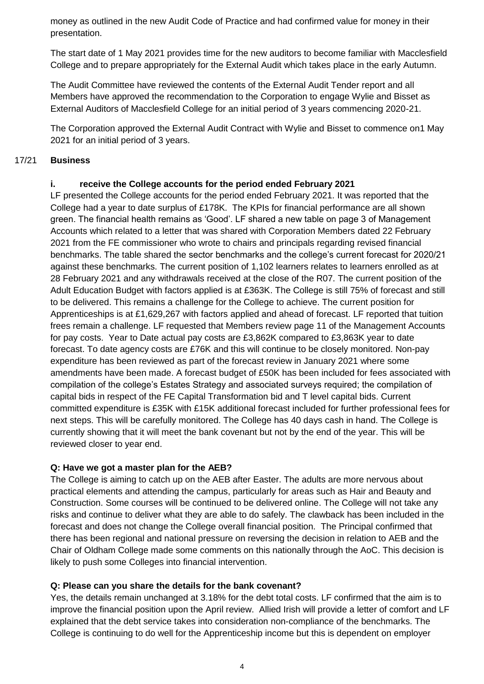money as outlined in the new Audit Code of Practice and had confirmed value for money in their presentation.

The start date of 1 May 2021 provides time for the new auditors to become familiar with Macclesfield College and to prepare appropriately for the External Audit which takes place in the early Autumn.

The Audit Committee have reviewed the contents of the External Audit Tender report and all Members have approved the recommendation to the Corporation to engage Wylie and Bisset as External Auditors of Macclesfield College for an initial period of 3 years commencing 2020-21.

The Corporation approved the External Audit Contract with Wylie and Bisset to commence on1 May 2021 for an initial period of 3 years.

### 17/21 **Business**

### **i. receive the College accounts for the period ended February 2021**

LF presented the College accounts for the period ended February 2021. It was reported that the College had a year to date surplus of £178K. The KPIs for financial performance are all shown green. The financial health remains as 'Good'. LF shared a new table on page 3 of Management Accounts which related to a letter that was shared with Corporation Members dated 22 February 2021 from the FE commissioner who wrote to chairs and principals regarding revised financial benchmarks. The table shared the sector benchmarks and the college's current forecast for 2020/21 against these benchmarks. The current position of 1,102 learners relates to learners enrolled as at 28 February 2021 and any withdrawals received at the close of the R07. The current position of the Adult Education Budget with factors applied is at £363K. The College is still 75% of forecast and still to be delivered. This remains a challenge for the College to achieve. The current position for Apprenticeships is at £1,629,267 with factors applied and ahead of forecast. LF reported that tuition frees remain a challenge. LF requested that Members review page 11 of the Management Accounts for pay costs. Year to Date actual pay costs are £3,862K compared to £3,863K year to date forecast. To date agency costs are £76K and this will continue to be closely monitored. Non-pay expenditure has been reviewed as part of the forecast review in January 2021 where some amendments have been made. A forecast budget of £50K has been included for fees associated with compilation of the college's Estates Strategy and associated surveys required; the compilation of capital bids in respect of the FE Capital Transformation bid and T level capital bids. Current committed expenditure is £35K with £15K additional forecast included for further professional fees for next steps. This will be carefully monitored. The College has 40 days cash in hand. The College is currently showing that it will meet the bank covenant but not by the end of the year. This will be reviewed closer to year end.

# **Q: Have we got a master plan for the AEB?**

The College is aiming to catch up on the AEB after Easter. The adults are more nervous about practical elements and attending the campus, particularly for areas such as Hair and Beauty and Construction. Some courses will be continued to be delivered online. The College will not take any risks and continue to deliver what they are able to do safely. The clawback has been included in the forecast and does not change the College overall financial position. The Principal confirmed that there has been regional and national pressure on reversing the decision in relation to AEB and the Chair of Oldham College made some comments on this nationally through the AoC. This decision is likely to push some Colleges into financial intervention.

### **Q: Please can you share the details for the bank covenant?**

Yes, the details remain unchanged at 3.18% for the debt total costs. LF confirmed that the aim is to improve the financial position upon the April review. Allied Irish will provide a letter of comfort and LF explained that the debt service takes into consideration non-compliance of the benchmarks. The College is continuing to do well for the Apprenticeship income but this is dependent on employer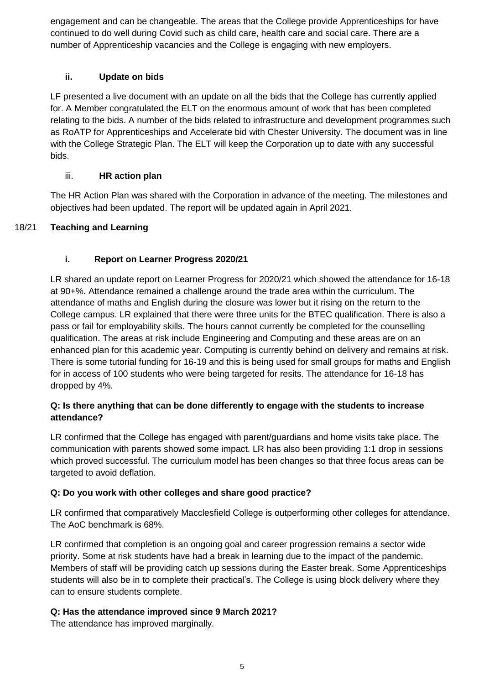engagement and can be changeable. The areas that the College provide Apprenticeships for have continued to do well during Covid such as child care, health care and social care. There are a number of Apprenticeship vacancies and the College is engaging with new employers.

# **ii. Update on bids**

LF presented a live document with an update on all the bids that the College has currently applied for. A Member congratulated the ELT on the enormous amount of work that has been completed relating to the bids. A number of the bids related to infrastructure and development programmes such as RoATP for Apprenticeships and Accelerate bid with Chester University. The document was in line with the College Strategic Plan. The ELT will keep the Corporation up to date with any successful bids.

# iii. **HR action plan**

The HR Action Plan was shared with the Corporation in advance of the meeting. The milestones and objectives had been updated. The report will be updated again in April 2021.

# 18/21 **Teaching and Learning**

# **i. Report on Learner Progress 2020/21**

LR shared an update report on Learner Progress for 2020/21 which showed the attendance for 16-18 at 90+%. Attendance remained a challenge around the trade area within the curriculum. The attendance of maths and English during the closure was lower but it rising on the return to the College campus. LR explained that there were three units for the BTEC qualification. There is also a pass or fail for employability skills. The hours cannot currently be completed for the counselling qualification. The areas at risk include Engineering and Computing and these areas are on an enhanced plan for this academic year. Computing is currently behind on delivery and remains at risk. There is some tutorial funding for 16-19 and this is being used for small groups for maths and English for in access of 100 students who were being targeted for resits. The attendance for 16-18 has dropped by 4%.

# **Q: Is there anything that can be done differently to engage with the students to increase attendance?**

LR confirmed that the College has engaged with parent/guardians and home visits take place. The communication with parents showed some impact. LR has also been providing 1:1 drop in sessions which proved successful. The curriculum model has been changes so that three focus areas can be targeted to avoid deflation.

# **Q: Do you work with other colleges and share good practice?**

LR confirmed that comparatively Macclesfield College is outperforming other colleges for attendance. The AoC benchmark is 68%.

LR confirmed that completion is an ongoing goal and career progression remains a sector wide priority. Some at risk students have had a break in learning due to the impact of the pandemic. Members of staff will be providing catch up sessions during the Easter break. Some Apprenticeships students will also be in to complete their practical's. The College is using block delivery where they can to ensure students complete.

# **Q: Has the attendance improved since 9 March 2021?**

The attendance has improved marginally.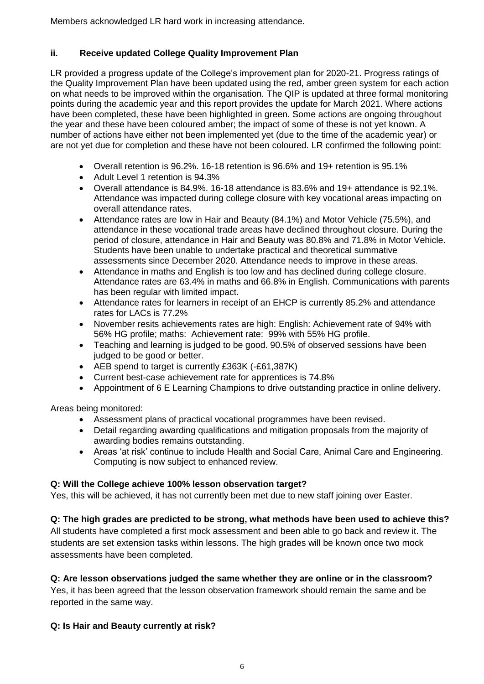Members acknowledged LR hard work in increasing attendance.

# **ii. Receive updated College Quality Improvement Plan**

LR provided a progress update of the College's improvement plan for 2020-21. Progress ratings of the Quality Improvement Plan have been updated using the red, amber green system for each action on what needs to be improved within the organisation. The QIP is updated at three formal monitoring points during the academic year and this report provides the update for March 2021. Where actions have been completed, these have been highlighted in green. Some actions are ongoing throughout the year and these have been coloured amber; the impact of some of these is not yet known. A number of actions have either not been implemented yet (due to the time of the academic year) or are not yet due for completion and these have not been coloured. LR confirmed the following point:

- Overall retention is 96.2%. 16-18 retention is 96.6% and 19+ retention is 95.1%
- Adult Level 1 retention is 94.3%
- Overall attendance is 84.9%. 16-18 attendance is 83.6% and 19+ attendance is 92.1%. Attendance was impacted during college closure with key vocational areas impacting on overall attendance rates.
- Attendance rates are low in Hair and Beauty (84.1%) and Motor Vehicle (75.5%), and attendance in these vocational trade areas have declined throughout closure. During the period of closure, attendance in Hair and Beauty was 80.8% and 71.8% in Motor Vehicle. Students have been unable to undertake practical and theoretical summative assessments since December 2020. Attendance needs to improve in these areas.
- Attendance in maths and English is too low and has declined during college closure. Attendance rates are 63.4% in maths and 66.8% in English. Communications with parents has been regular with limited impact.
- Attendance rates for learners in receipt of an EHCP is currently 85.2% and attendance rates for LACs is 77.2%
- November resits achievements rates are high: English: Achievement rate of 94% with 56% HG profile; maths: Achievement rate: 99% with 55% HG profile.
- Teaching and learning is judged to be good. 90.5% of observed sessions have been judged to be good or better.
- AEB spend to target is currently £363K (-£61,387K)
- Current best-case achievement rate for apprentices is 74.8%
- Appointment of 6 E Learning Champions to drive outstanding practice in online delivery.

Areas being monitored:

- Assessment plans of practical vocational programmes have been revised.
- Detail regarding awarding qualifications and mitigation proposals from the majority of awarding bodies remains outstanding.
- Areas 'at risk' continue to include Health and Social Care, Animal Care and Engineering. Computing is now subject to enhanced review.

# **Q: Will the College achieve 100% lesson observation target?**

Yes, this will be achieved, it has not currently been met due to new staff joining over Easter.

# **Q: The high grades are predicted to be strong, what methods have been used to achieve this?**

All students have completed a first mock assessment and been able to go back and review it. The students are set extension tasks within lessons. The high grades will be known once two mock assessments have been completed.

# **Q: Are lesson observations judged the same whether they are online or in the classroom?**

Yes, it has been agreed that the lesson observation framework should remain the same and be reported in the same way.

# **Q: Is Hair and Beauty currently at risk?**